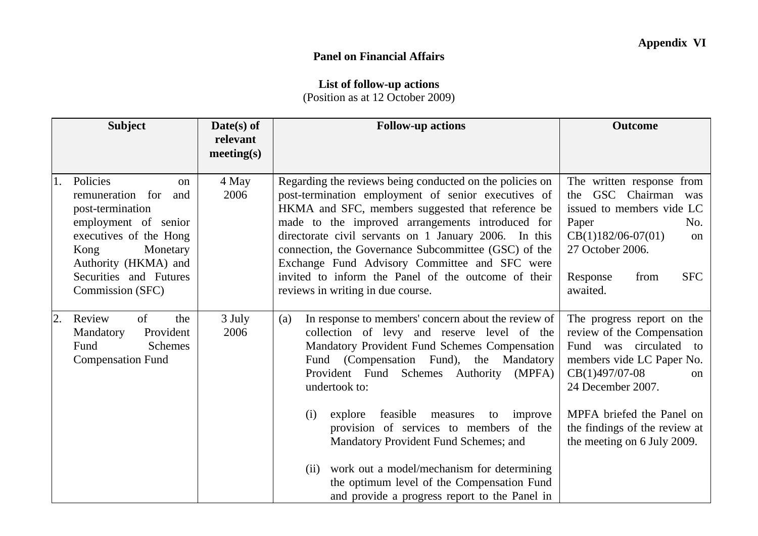## **Panel on Financial Affairs**

## **List of follow-up actions**

(Position as at 12 October 2009)

|    | <b>Subject</b>                                                                                                                                                                                            | Date(s) of<br>relevant<br>meeting(s) | <b>Follow-up actions</b>                                                                                                                                                                                                                                                                                                                                                                                                                                                               | <b>Outcome</b>                                                                                                                                                                                             |
|----|-----------------------------------------------------------------------------------------------------------------------------------------------------------------------------------------------------------|--------------------------------------|----------------------------------------------------------------------------------------------------------------------------------------------------------------------------------------------------------------------------------------------------------------------------------------------------------------------------------------------------------------------------------------------------------------------------------------------------------------------------------------|------------------------------------------------------------------------------------------------------------------------------------------------------------------------------------------------------------|
| 1. | Policies<br>on<br>remuneration for<br>and<br>post-termination<br>employment of senior<br>executives of the Hong<br>Kong<br>Monetary<br>Authority (HKMA) and<br>Securities and Futures<br>Commission (SFC) | 4 May<br>2006                        | Regarding the reviews being conducted on the policies on<br>post-termination employment of senior executives of<br>HKMA and SFC, members suggested that reference be<br>made to the improved arrangements introduced for<br>directorate civil servants on 1 January 2006. In this<br>connection, the Governance Subcommittee (GSC) of the<br>Exchange Fund Advisory Committee and SFC were<br>invited to inform the Panel of the outcome of their<br>reviews in writing in due course. | The written response from<br>GSC Chairman was<br>the<br>issued to members vide LC<br>Paper<br>No.<br>$CB(1)182/06-07(01)$<br>on<br>27 October 2006.<br><b>SFC</b><br>Response<br>from<br>awaited.          |
| 2. | Review<br>of<br>the<br>Provident<br>Mandatory<br>Fund<br><b>Schemes</b><br><b>Compensation Fund</b>                                                                                                       | 3 July<br>2006                       | In response to members' concern about the review of<br>(a)<br>collection of levy and reserve level of the<br>Mandatory Provident Fund Schemes Compensation<br>Fund (Compensation Fund), the Mandatory<br>Provident Fund Schemes Authority<br>(MPFA)<br>undertook to:<br>feasible<br>improve<br>measures<br>(i)<br>explore<br>to                                                                                                                                                        | The progress report on the<br>review of the Compensation<br>was circulated<br>Fund<br>to<br>members vide LC Paper No.<br>CB(1)497/07-08<br><sub>on</sub><br>24 December 2007.<br>MPFA briefed the Panel on |
|    |                                                                                                                                                                                                           |                                      | provision of services to members of the<br>Mandatory Provident Fund Schemes; and<br>work out a model/mechanism for determining<br>(ii)<br>the optimum level of the Compensation Fund<br>and provide a progress report to the Panel in                                                                                                                                                                                                                                                  | the findings of the review at<br>the meeting on 6 July 2009.                                                                                                                                               |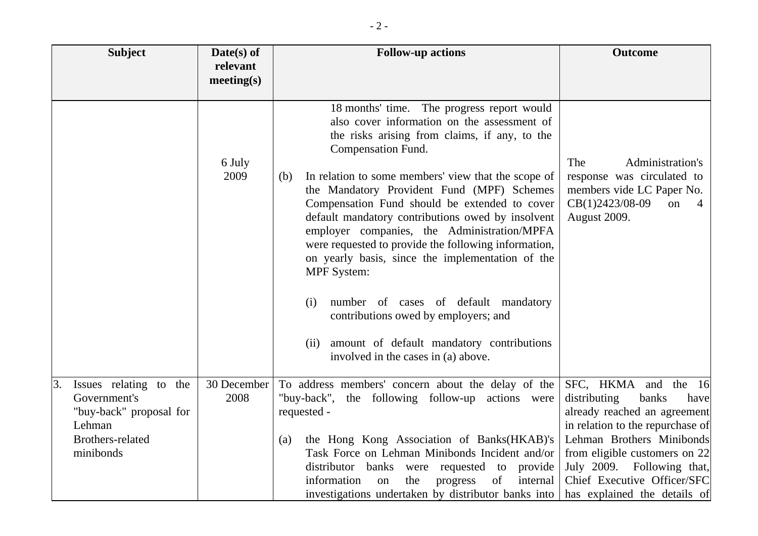| <b>Subject</b>                                                                                                     | $Date(s)$ of<br>relevant<br>meeting(s) | <b>Follow-up actions</b>                                                                                                                                                                                                                                                                                                                                                                                                                                                                                                                                                                                                                                                                                                                               | <b>Outcome</b>                                                                                                                                                                                                                                                                             |
|--------------------------------------------------------------------------------------------------------------------|----------------------------------------|--------------------------------------------------------------------------------------------------------------------------------------------------------------------------------------------------------------------------------------------------------------------------------------------------------------------------------------------------------------------------------------------------------------------------------------------------------------------------------------------------------------------------------------------------------------------------------------------------------------------------------------------------------------------------------------------------------------------------------------------------------|--------------------------------------------------------------------------------------------------------------------------------------------------------------------------------------------------------------------------------------------------------------------------------------------|
|                                                                                                                    | 6 July<br>2009                         | 18 months' time. The progress report would<br>also cover information on the assessment of<br>the risks arising from claims, if any, to the<br>Compensation Fund.<br>In relation to some members' view that the scope of<br>(b)<br>the Mandatory Provident Fund (MPF) Schemes<br>Compensation Fund should be extended to cover<br>default mandatory contributions owed by insolvent<br>employer companies, the Administration/MPFA<br>were requested to provide the following information,<br>on yearly basis, since the implementation of the<br><b>MPF</b> System:<br>number of cases of default mandatory<br>(i)<br>contributions owed by employers; and<br>amount of default mandatory contributions<br>(ii)<br>involved in the cases in (a) above. | Administration's<br>The<br>response was circulated to<br>members vide LC Paper No.<br>CB(1)2423/08-09<br>on<br>4<br>August 2009.                                                                                                                                                           |
| Issues relating to the<br>3.<br>Government's<br>"buy-back" proposal for<br>Lehman<br>Brothers-related<br>minibonds | 30 December<br>2008                    | To address members' concern about the delay of the<br>"buy-back", the following follow-up actions were<br>requested -<br>the Hong Kong Association of Banks(HKAB)'s<br>(a)<br>Task Force on Lehman Minibonds Incident and/or<br>distributor<br>banks<br>were requested to<br>provide<br>information<br>progress<br>the<br>of<br>internal<br>on<br>investigations undertaken by distributor banks into                                                                                                                                                                                                                                                                                                                                                  | SFC, HKMA and the<br>16<br>distributing<br>banks<br>have<br>already reached an agreement<br>in relation to the repurchase of<br>Lehman Brothers Minibonds<br>from eligible customers on 22<br>July 2009.<br>Following that,<br>Chief Executive Officer/SFC<br>has explained the details of |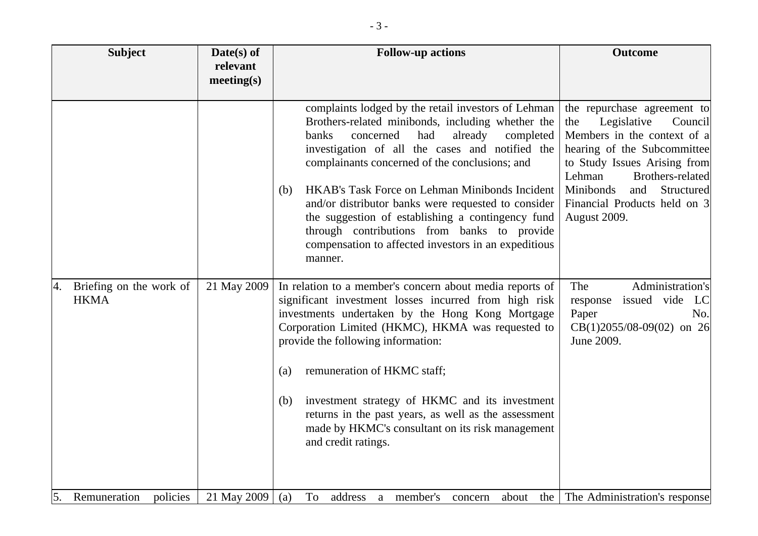| <b>Subject</b>                               | $Date(s)$ of<br>relevant<br>meeting(s) | <b>Follow-up actions</b>                                                                                                                                                                                                                                                                                                                                                                                                                                                                                                                                  | <b>Outcome</b>                                                                                                                                                                                                                                                             |
|----------------------------------------------|----------------------------------------|-----------------------------------------------------------------------------------------------------------------------------------------------------------------------------------------------------------------------------------------------------------------------------------------------------------------------------------------------------------------------------------------------------------------------------------------------------------------------------------------------------------------------------------------------------------|----------------------------------------------------------------------------------------------------------------------------------------------------------------------------------------------------------------------------------------------------------------------------|
|                                              |                                        | complaints lodged by the retail investors of Lehman<br>Brothers-related minibonds, including whether the<br>banks<br>concerned<br>had<br>already<br>completed<br>investigation of all the cases and notified the<br>complainants concerned of the conclusions; and<br>HKAB's Task Force on Lehman Minibonds Incident<br>(b)<br>and/or distributor banks were requested to consider<br>the suggestion of establishing a contingency fund<br>through contributions from banks to provide<br>compensation to affected investors in an expeditious<br>manner. | the repurchase agreement to<br>Legislative<br>Council<br>the<br>Members in the context of a<br>hearing of the Subcommittee<br>to Study Issues Arising from<br>Lehman<br>Brothers-related<br>Minibonds<br>Structured<br>and<br>Financial Products held on 3<br>August 2009. |
| Briefing on the work of<br>4.<br><b>HKMA</b> | 21 May 2009                            | In relation to a member's concern about media reports of<br>significant investment losses incurred from high risk<br>investments undertaken by the Hong Kong Mortgage<br>Corporation Limited (HKMC), HKMA was requested to<br>provide the following information:<br>remuneration of HKMC staff;<br>(a)<br>investment strategy of HKMC and its investment<br>(b)<br>returns in the past years, as well as the assessment<br>made by HKMC's consultant on its risk management<br>and credit ratings.                                                        | Administration's<br>The<br>response issued vide<br>LC<br>Paper<br>No.<br>$CB(1)2055/08-09(02)$ on 26<br>June 2009.                                                                                                                                                         |
| 5.<br>Remuneration<br>policies               | 21 May 2009                            | To<br>address<br>a member's<br>about<br>(a)<br>concern                                                                                                                                                                                                                                                                                                                                                                                                                                                                                                    | the The Administration's response                                                                                                                                                                                                                                          |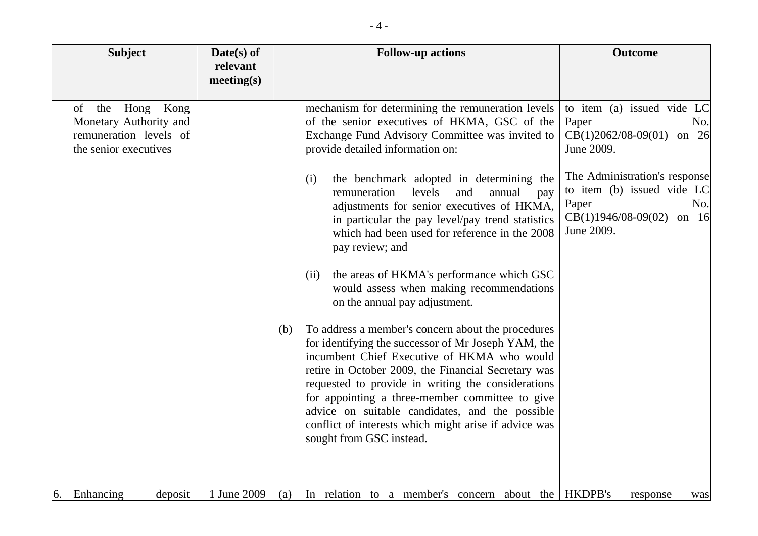| <b>Subject</b>                                                                                         | $Date(s)$ of<br>relevant<br>meeting(s) | <b>Follow-up actions</b>                                                                                                                                                                                                                                                                                                                                                                                                                                                                                                                                                                                                                                                                                                                                                                                                                                                                                                                                                                                                                                                         | <b>Outcome</b>                                                                                                                                                                                                                |
|--------------------------------------------------------------------------------------------------------|----------------------------------------|----------------------------------------------------------------------------------------------------------------------------------------------------------------------------------------------------------------------------------------------------------------------------------------------------------------------------------------------------------------------------------------------------------------------------------------------------------------------------------------------------------------------------------------------------------------------------------------------------------------------------------------------------------------------------------------------------------------------------------------------------------------------------------------------------------------------------------------------------------------------------------------------------------------------------------------------------------------------------------------------------------------------------------------------------------------------------------|-------------------------------------------------------------------------------------------------------------------------------------------------------------------------------------------------------------------------------|
| Kong<br>of<br>the<br>Hong<br>Monetary Authority and<br>remuneration levels of<br>the senior executives |                                        | mechanism for determining the remuneration levels<br>of the senior executives of HKMA, GSC of the<br>Exchange Fund Advisory Committee was invited to<br>provide detailed information on:<br>the benchmark adopted in determining the<br>(i)<br>levels<br>remuneration<br>and<br>annual<br>pay<br>adjustments for senior executives of HKMA,<br>in particular the pay level/pay trend statistics<br>which had been used for reference in the 2008<br>pay review; and<br>the areas of HKMA's performance which GSC<br>(ii)<br>would assess when making recommendations<br>on the annual pay adjustment.<br>To address a member's concern about the procedures<br>(b)<br>for identifying the successor of Mr Joseph YAM, the<br>incumbent Chief Executive of HKMA who would<br>retire in October 2009, the Financial Secretary was<br>requested to provide in writing the considerations<br>for appointing a three-member committee to give<br>advice on suitable candidates, and the possible<br>conflict of interests which might arise if advice was<br>sought from GSC instead. | to item (a) issued vide LC<br>Paper<br>No.<br>$CB(1)2062/08-09(01)$<br>on $26$<br>June 2009.<br>The Administration's response<br>to item (b) issued vide LC<br>Paper<br>No.<br>$CB(1)1946/08-09(02)$<br>on $16$<br>June 2009. |
| Enhancing<br>deposit<br>6.                                                                             | 1 June 2009                            | In relation to a member's concern about the<br>(a)                                                                                                                                                                                                                                                                                                                                                                                                                                                                                                                                                                                                                                                                                                                                                                                                                                                                                                                                                                                                                               | <b>HKDPB's</b><br>response<br>was                                                                                                                                                                                             |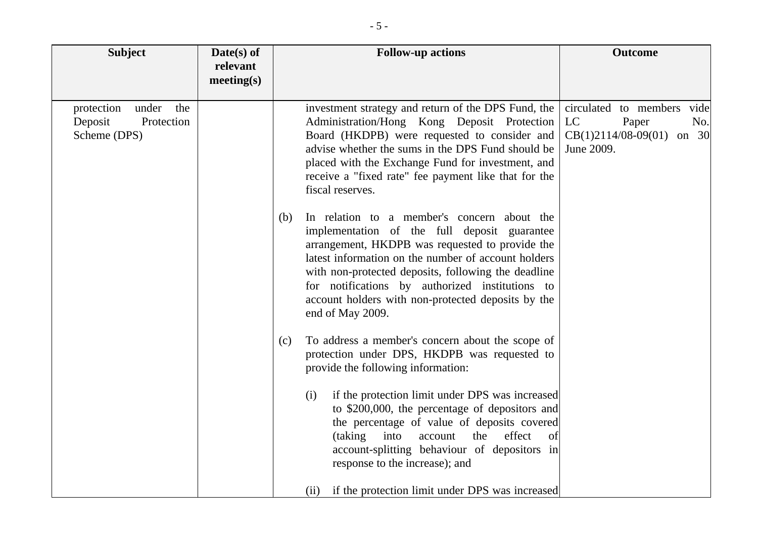| <b>Subject</b>                                                      | $Date(s)$ of<br>relevant<br>meeting(s) | <b>Follow-up actions</b>                                                                                                                                                                                                                                                                                                                                                                         | <b>Outcome</b>                                                                                      |
|---------------------------------------------------------------------|----------------------------------------|--------------------------------------------------------------------------------------------------------------------------------------------------------------------------------------------------------------------------------------------------------------------------------------------------------------------------------------------------------------------------------------------------|-----------------------------------------------------------------------------------------------------|
| under<br>protection<br>the<br>Deposit<br>Protection<br>Scheme (DPS) |                                        | investment strategy and return of the DPS Fund, the<br>Administration/Hong Kong Deposit Protection<br>Board (HKDPB) were requested to consider and<br>advise whether the sums in the DPS Fund should be<br>placed with the Exchange Fund for investment, and<br>receive a "fixed rate" fee payment like that for the<br>fiscal reserves.                                                         | circulated to members<br>vide<br>LC<br>Paper<br>No.<br>$CB(1)2114/08-09(01)$<br>on 30<br>June 2009. |
|                                                                     |                                        | In relation to a member's concern about the<br>(b)<br>implementation of the full deposit guarantee<br>arrangement, HKDPB was requested to provide the<br>latest information on the number of account holders<br>with non-protected deposits, following the deadline<br>for notifications by authorized institutions to<br>account holders with non-protected deposits by the<br>end of May 2009. |                                                                                                     |
|                                                                     |                                        | To address a member's concern about the scope of<br>(c)<br>protection under DPS, HKDPB was requested to<br>provide the following information:                                                                                                                                                                                                                                                    |                                                                                                     |
|                                                                     |                                        | if the protection limit under DPS was increased<br>(i)<br>to \$200,000, the percentage of depositors and<br>the percentage of value of deposits covered<br>effect<br>(taking)<br>into<br>the<br>account<br>of<br>account-splitting behaviour of depositors in<br>response to the increase); and                                                                                                  |                                                                                                     |
|                                                                     |                                        | if the protection limit under DPS was increased<br>(ii)                                                                                                                                                                                                                                                                                                                                          |                                                                                                     |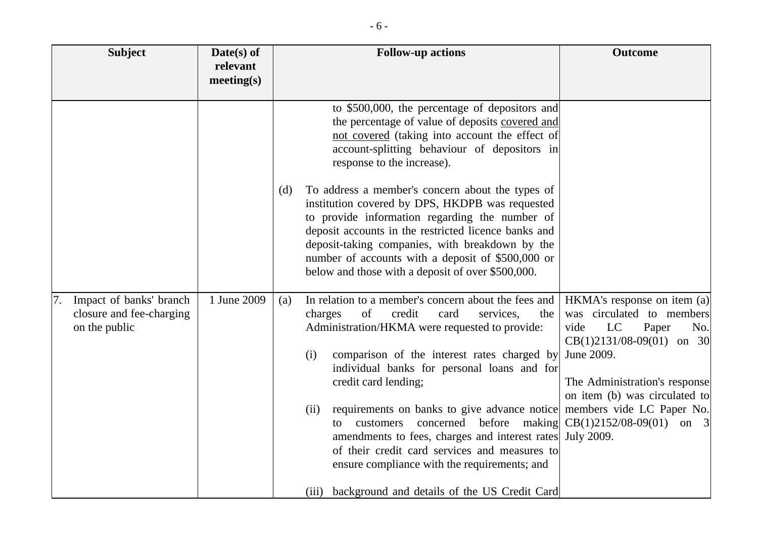| <b>Subject</b>                                                       | Date(s) of<br>relevant<br>meeting(s) | <b>Follow-up actions</b>                                                                                                                                                                                                                                                                                                                                                                                                                                                                                                                                                                                                                                                                                                                                                                                                                                                                                                                                                                                                                                                                                                                | <b>Outcome</b>                                                                                                                                                                                                                                                                   |
|----------------------------------------------------------------------|--------------------------------------|-----------------------------------------------------------------------------------------------------------------------------------------------------------------------------------------------------------------------------------------------------------------------------------------------------------------------------------------------------------------------------------------------------------------------------------------------------------------------------------------------------------------------------------------------------------------------------------------------------------------------------------------------------------------------------------------------------------------------------------------------------------------------------------------------------------------------------------------------------------------------------------------------------------------------------------------------------------------------------------------------------------------------------------------------------------------------------------------------------------------------------------------|----------------------------------------------------------------------------------------------------------------------------------------------------------------------------------------------------------------------------------------------------------------------------------|
| Impact of banks' branch<br>closure and fee-charging<br>on the public | 1 June 2009                          | to \$500,000, the percentage of depositors and<br>the percentage of value of deposits covered and<br>not covered (taking into account the effect of<br>account-splitting behaviour of depositors in<br>response to the increase).<br>To address a member's concern about the types of<br>(d)<br>institution covered by DPS, HKDPB was requested<br>to provide information regarding the number of<br>deposit accounts in the restricted licence banks and<br>deposit-taking companies, with breakdown by the<br>number of accounts with a deposit of \$500,000 or<br>below and those with a deposit of over \$500,000.<br>In relation to a member's concern about the fees and<br>(a)<br>of<br>credit<br>charges<br>card<br>services,<br>the<br>Administration/HKMA were requested to provide:<br>comparison of the interest rates charged by<br>(i)<br>individual banks for personal loans and for<br>credit card lending;<br>requirements on banks to give advance notice<br>(ii)<br>concerned before<br>making<br>customers<br>to<br>amendments to fees, charges and interest rates<br>of their credit card services and measures to | $HKMA's$ response on item (a)<br>was circulated to members<br>LC<br>vide<br>Paper<br>No.<br>$CB(1)2131/08-09(01)$ on 30<br>June 2009.<br>The Administration's response<br>on item (b) was circulated to<br>members vide LC Paper No.<br>$CB(1)2152/08-09(01)$ on 3<br>July 2009. |
|                                                                      |                                      | ensure compliance with the requirements; and<br>(iii) background and details of the US Credit Card                                                                                                                                                                                                                                                                                                                                                                                                                                                                                                                                                                                                                                                                                                                                                                                                                                                                                                                                                                                                                                      |                                                                                                                                                                                                                                                                                  |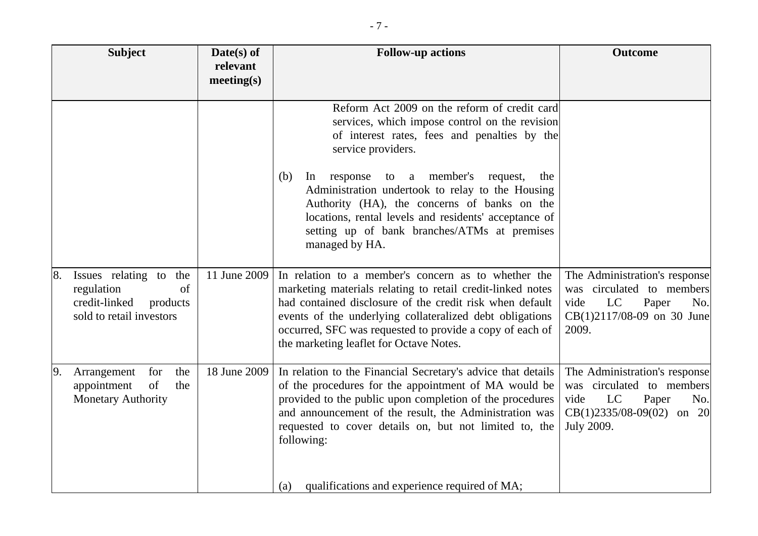| <b>Subject</b>                                                                                            | $Date(s)$ of<br>relevant<br>meeting(s) | <b>Follow-up actions</b>                                                                                                                                                                                                                                                                                                                                                                                                                                         | <b>Outcome</b>                                                                                                                        |
|-----------------------------------------------------------------------------------------------------------|----------------------------------------|------------------------------------------------------------------------------------------------------------------------------------------------------------------------------------------------------------------------------------------------------------------------------------------------------------------------------------------------------------------------------------------------------------------------------------------------------------------|---------------------------------------------------------------------------------------------------------------------------------------|
|                                                                                                           |                                        | Reform Act 2009 on the reform of credit card<br>services, which impose control on the revision<br>of interest rates, fees and penalties by the<br>service providers.<br>a member's request,<br>(b)<br>response<br>In<br>to<br>the<br>Administration undertook to relay to the Housing<br>Authority (HA), the concerns of banks on the<br>locations, rental levels and residents' acceptance of<br>setting up of bank branches/ATMs at premises<br>managed by HA. |                                                                                                                                       |
| Issues relating to the<br>8.<br>regulation<br>of<br>credit-linked<br>products<br>sold to retail investors | 11 June 2009                           | In relation to a member's concern as to whether the<br>marketing materials relating to retail credit-linked notes<br>had contained disclosure of the credit risk when default<br>events of the underlying collateralized debt obligations<br>occurred, SFC was requested to provide a copy of each of<br>the marketing leaflet for Octave Notes.                                                                                                                 | The Administration's response<br>was circulated to members<br>vide<br>LC<br>Paper<br>No.<br>$CB(1)2117/08-09$ on 30 June<br>2009.     |
| 9.<br>the<br>Arrangement<br>for<br>of<br>the<br>appointment<br><b>Monetary Authority</b>                  | 18 June 2009                           | In relation to the Financial Secretary's advice that details<br>of the procedures for the appointment of MA would be<br>provided to the public upon completion of the procedures<br>and announcement of the result, the Administration was<br>requested to cover details on, but not limited to, the<br>following:<br>qualifications and experience required of MA;<br>(a)                                                                                       | The Administration's response<br>was circulated to members<br>LC<br>Paper<br>vide<br>No.<br>$CB(1)2335/08-09(02)$ on 20<br>July 2009. |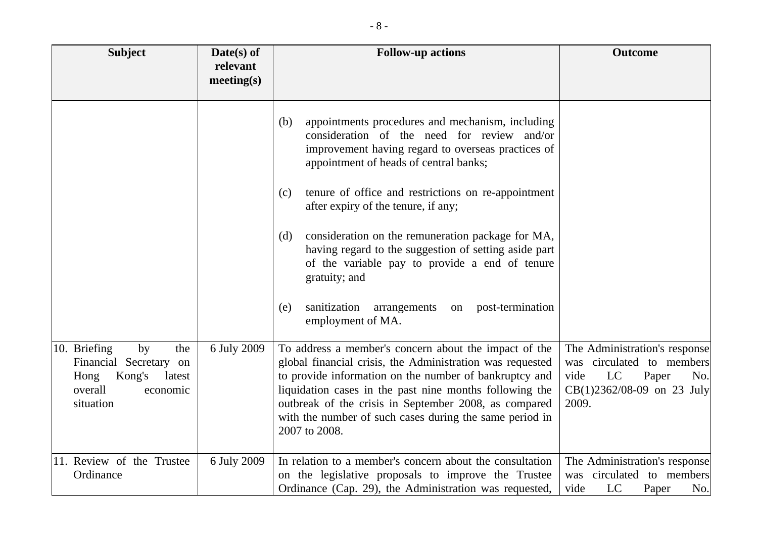| <b>Subject</b>                                                                                                         | $Date(s)$ of<br>relevant<br>meeting(s) | <b>Follow-up actions</b>                                                                                                                                                                                                                                                                                                                                                     | <b>Outcome</b>                                                                                                                    |
|------------------------------------------------------------------------------------------------------------------------|----------------------------------------|------------------------------------------------------------------------------------------------------------------------------------------------------------------------------------------------------------------------------------------------------------------------------------------------------------------------------------------------------------------------------|-----------------------------------------------------------------------------------------------------------------------------------|
|                                                                                                                        |                                        | appointments procedures and mechanism, including<br>(b)<br>consideration of the need for review and/or<br>improvement having regard to overseas practices of<br>appointment of heads of central banks;                                                                                                                                                                       |                                                                                                                                   |
|                                                                                                                        |                                        | tenure of office and restrictions on re-appointment<br>(c)<br>after expiry of the tenure, if any;                                                                                                                                                                                                                                                                            |                                                                                                                                   |
|                                                                                                                        |                                        | consideration on the remuneration package for MA,<br>(d)<br>having regard to the suggestion of setting aside part<br>of the variable pay to provide a end of tenure<br>gratuity; and                                                                                                                                                                                         |                                                                                                                                   |
|                                                                                                                        |                                        | arrangements on post-termination<br>sanitization<br>(e)<br>employment of MA.                                                                                                                                                                                                                                                                                                 |                                                                                                                                   |
| 10. Briefing<br>by<br>the<br>Financial Secretary<br>on<br>Kong's<br>Hong<br>latest<br>overall<br>economic<br>situation | 6 July 2009                            | To address a member's concern about the impact of the<br>global financial crisis, the Administration was requested<br>to provide information on the number of bankruptcy and<br>liquidation cases in the past nine months following the<br>outbreak of the crisis in September 2008, as compared<br>with the number of such cases during the same period in<br>2007 to 2008. | The Administration's response<br>was circulated to members<br>vide<br>LC<br>Paper<br>No.<br>$CB(1)2362/08-09$ on 23 July<br>2009. |
| 11. Review of the Trustee<br>Ordinance                                                                                 | 6 July 2009                            | In relation to a member's concern about the consultation<br>on the legislative proposals to improve the Trustee<br>Ordinance (Cap. 29), the Administration was requested,                                                                                                                                                                                                    | The Administration's response<br>was circulated to members<br>LC<br>vide<br>Paper<br>No.                                          |